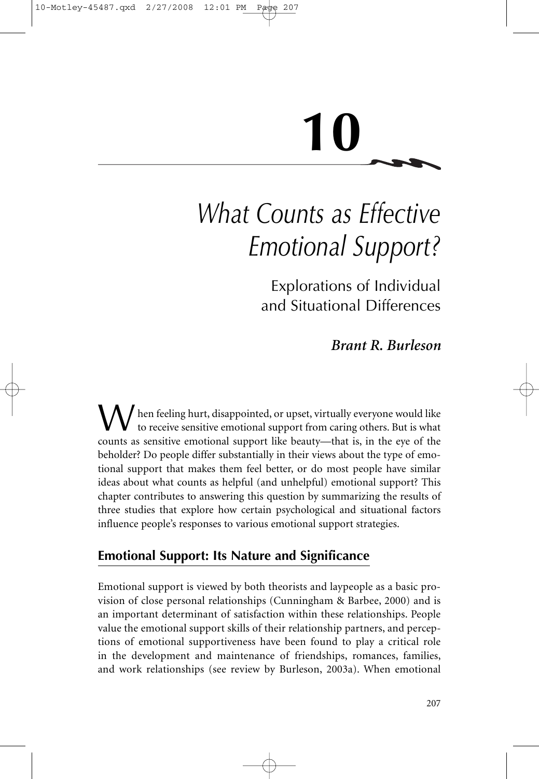# **10**

# *What Counts as Effective Emotional Support?*

Explorations of Individual and Situational Differences

*Brant R. Burleson*

hen feeling hurt, disappointed, or upset, virtually everyone would like to receive sensitive emotional support from caring others. But is what counts as sensitive emotional support like beauty—that is, in the eye of the beholder? Do people differ substantially in their views about the type of emotional support that makes them feel better, or do most people have similar ideas about what counts as helpful (and unhelpful) emotional support? This chapter contributes to answering this question by summarizing the results of three studies that explore how certain psychological and situational factors influence people's responses to various emotional support strategies.

# **Emotional Support: Its Nature and Significance**

Emotional support is viewed by both theorists and laypeople as a basic provision of close personal relationships (Cunningham & Barbee, 2000) and is an important determinant of satisfaction within these relationships. People value the emotional support skills of their relationship partners, and perceptions of emotional supportiveness have been found to play a critical role in the development and maintenance of friendships, romances, families, and work relationships (see review by Burleson, 2003a). When emotional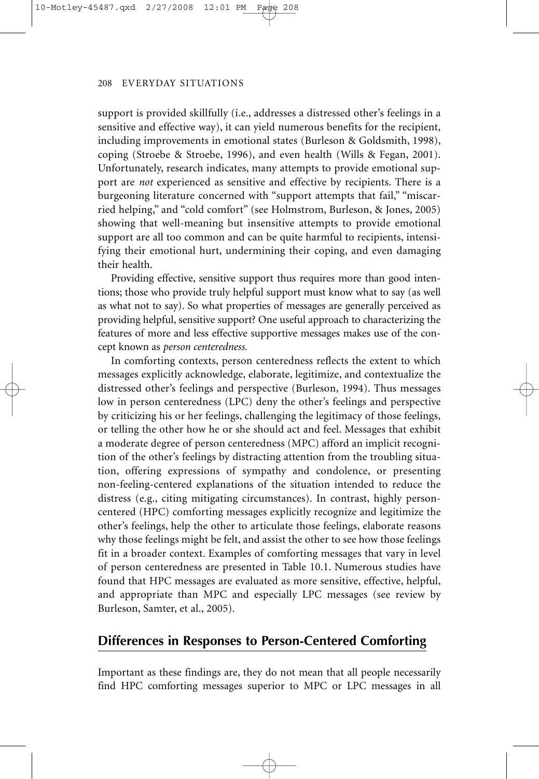support is provided skillfully (i.e., addresses a distressed other's feelings in a sensitive and effective way), it can yield numerous benefits for the recipient, including improvements in emotional states (Burleson & Goldsmith, 1998), coping (Stroebe & Stroebe, 1996), and even health (Wills & Fegan, 2001). Unfortunately, research indicates, many attempts to provide emotional support are *not* experienced as sensitive and effective by recipients. There is a burgeoning literature concerned with "support attempts that fail," "miscarried helping," and "cold comfort" (see Holmstrom, Burleson, & Jones, 2005) showing that well-meaning but insensitive attempts to provide emotional support are all too common and can be quite harmful to recipients, intensifying their emotional hurt, undermining their coping, and even damaging their health.

Providing effective, sensitive support thus requires more than good intentions; those who provide truly helpful support must know what to say (as well as what not to say). So what properties of messages are generally perceived as providing helpful, sensitive support? One useful approach to characterizing the features of more and less effective supportive messages makes use of the concept known as *person centeredness.*

In comforting contexts, person centeredness reflects the extent to which messages explicitly acknowledge, elaborate, legitimize, and contextualize the distressed other's feelings and perspective (Burleson, 1994). Thus messages low in person centeredness (LPC) deny the other's feelings and perspective by criticizing his or her feelings, challenging the legitimacy of those feelings, or telling the other how he or she should act and feel. Messages that exhibit a moderate degree of person centeredness (MPC) afford an implicit recognition of the other's feelings by distracting attention from the troubling situation, offering expressions of sympathy and condolence, or presenting non-feeling-centered explanations of the situation intended to reduce the distress (e.g., citing mitigating circumstances). In contrast, highly personcentered (HPC) comforting messages explicitly recognize and legitimize the other's feelings, help the other to articulate those feelings, elaborate reasons why those feelings might be felt, and assist the other to see how those feelings fit in a broader context. Examples of comforting messages that vary in level of person centeredness are presented in Table 10.1. Numerous studies have found that HPC messages are evaluated as more sensitive, effective, helpful, and appropriate than MPC and especially LPC messages (see review by Burleson, Samter, et al., 2005).

#### **Differences in Responses to Person-Centered Comforting**

Important as these findings are, they do not mean that all people necessarily find HPC comforting messages superior to MPC or LPC messages in all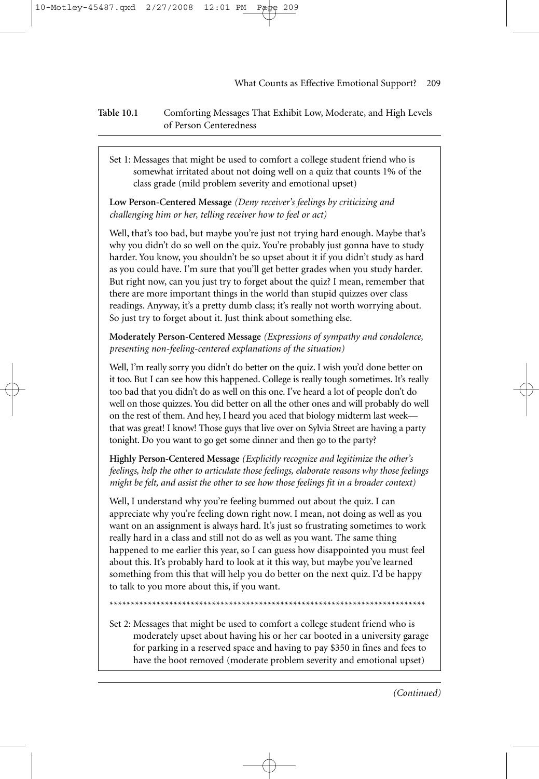**Table 10.1** Comforting Messages That Exhibit Low, Moderate, and High Levels of Person Centeredness

Set 1: Messages that might be used to comfort a college student friend who is somewhat irritated about not doing well on a quiz that counts 1% of the class grade (mild problem severity and emotional upset)

**Low Person-Centered Message** *(Deny receiver's feelings by criticizing and challenging him or her, telling receiver how to feel or act)*

Well, that's too bad, but maybe you're just not trying hard enough. Maybe that's why you didn't do so well on the quiz. You're probably just gonna have to study harder. You know, you shouldn't be so upset about it if you didn't study as hard as you could have. I'm sure that you'll get better grades when you study harder. But right now, can you just try to forget about the quiz? I mean, remember that there are more important things in the world than stupid quizzes over class readings. Anyway, it's a pretty dumb class; it's really not worth worrying about. So just try to forget about it. Just think about something else.

**Moderately Person-Centered Message** *(Expressions of sympathy and condolence, presenting non-feeling-centered explanations of the situation)* 

Well, I'm really sorry you didn't do better on the quiz. I wish you'd done better on it too. But I can see how this happened. College is really tough sometimes. It's really too bad that you didn't do as well on this one. I've heard a lot of people don't do well on those quizzes. You did better on all the other ones and will probably do well on the rest of them. And hey, I heard you aced that biology midterm last week that was great! I know! Those guys that live over on Sylvia Street are having a party tonight. Do you want to go get some dinner and then go to the party?

**Highly Person-Centered Message** *(Explicitly recognize and legitimize the other's feelings, help the other to articulate those feelings, elaborate reasons why those feelings might be felt, and assist the other to see how those feelings fit in a broader context)*

Well, I understand why you're feeling bummed out about the quiz. I can appreciate why you're feeling down right now. I mean, not doing as well as you want on an assignment is always hard. It's just so frustrating sometimes to work really hard in a class and still not do as well as you want. The same thing happened to me earlier this year, so I can guess how disappointed you must feel about this. It's probably hard to look at it this way, but maybe you've learned something from this that will help you do better on the next quiz. I'd be happy to talk to you more about this, if you want.

\*\*\*\*\*\*\*\*\*\*\*\*\*\*\*\*\*\*\*\*\*\*\*\*\*\*\*\*\*\*\*\*\*\*\*\*\*\*\*\*\*\*\*\*\*\*\*\*\*\*\*\*\*\*\*\*\*\*\*\*\*\*\*\*\*\*\*\*\*\*\*\*\*\*

Set 2: Messages that might be used to comfort a college student friend who is moderately upset about having his or her car booted in a university garage for parking in a reserved space and having to pay \$350 in fines and fees to have the boot removed (moderate problem severity and emotional upset)

*(Continued)*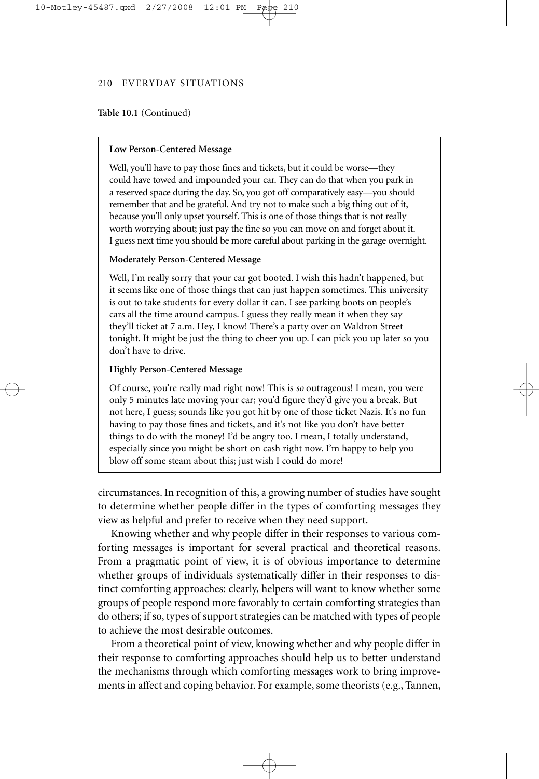#### **Table 10.1** (Continued)

#### **Low Person-Centered Message**

Well, you'll have to pay those fines and tickets, but it could be worse—they could have towed and impounded your car. They can do that when you park in a reserved space during the day. So, you got off comparatively easy—you should remember that and be grateful. And try not to make such a big thing out of it, because you'll only upset yourself. This is one of those things that is not really worth worrying about; just pay the fine so you can move on and forget about it. I guess next time you should be more careful about parking in the garage overnight.

#### **Moderately Person-Centered Message**

Well, I'm really sorry that your car got booted. I wish this hadn't happened, but it seems like one of those things that can just happen sometimes. This university is out to take students for every dollar it can. I see parking boots on people's cars all the time around campus. I guess they really mean it when they say they'll ticket at 7 a.m. Hey, I know! There's a party over on Waldron Street tonight. It might be just the thing to cheer you up. I can pick you up later so you don't have to drive.

#### **Highly Person-Centered Message**

Of course, you're really mad right now! This is *so* outrageous! I mean, you were only 5 minutes late moving your car; you'd figure they'd give you a break. But not here, I guess; sounds like you got hit by one of those ticket Nazis. It's no fun having to pay those fines and tickets, and it's not like you don't have better things to do with the money! I'd be angry too. I mean, I totally understand, especially since you might be short on cash right now. I'm happy to help you blow off some steam about this; just wish I could do more!

circumstances. In recognition of this, a growing number of studies have sought to determine whether people differ in the types of comforting messages they view as helpful and prefer to receive when they need support.

Knowing whether and why people differ in their responses to various comforting messages is important for several practical and theoretical reasons. From a pragmatic point of view, it is of obvious importance to determine whether groups of individuals systematically differ in their responses to distinct comforting approaches: clearly, helpers will want to know whether some groups of people respond more favorably to certain comforting strategies than do others; if so, types of support strategies can be matched with types of people to achieve the most desirable outcomes.

From a theoretical point of view, knowing whether and why people differ in their response to comforting approaches should help us to better understand the mechanisms through which comforting messages work to bring improvements in affect and coping behavior. For example, some theorists (e.g., Tannen,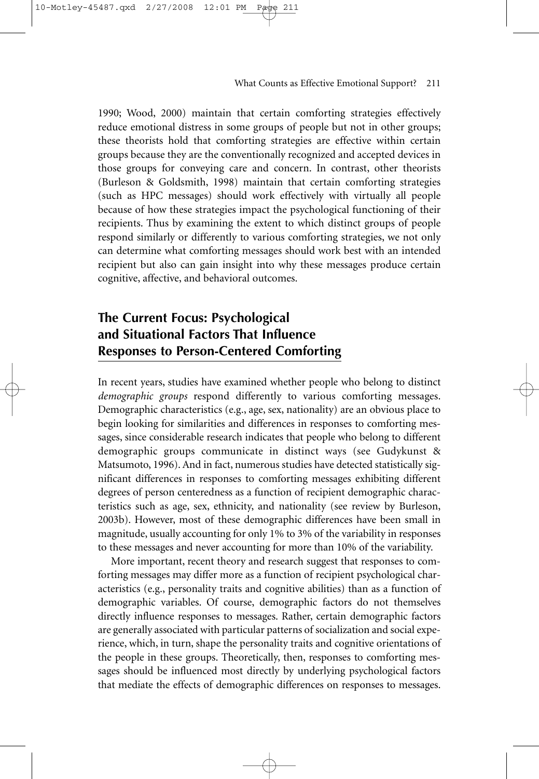1990; Wood, 2000) maintain that certain comforting strategies effectively reduce emotional distress in some groups of people but not in other groups; these theorists hold that comforting strategies are effective within certain groups because they are the conventionally recognized and accepted devices in those groups for conveying care and concern. In contrast, other theorists (Burleson & Goldsmith, 1998) maintain that certain comforting strategies (such as HPC messages) should work effectively with virtually all people because of how these strategies impact the psychological functioning of their recipients. Thus by examining the extent to which distinct groups of people respond similarly or differently to various comforting strategies, we not only can determine what comforting messages should work best with an intended recipient but also can gain insight into why these messages produce certain cognitive, affective, and behavioral outcomes.

# **The Current Focus: Psychological and Situational Factors That Influence Responses to Person-Centered Comforting**

/27/2008

In recent years, studies have examined whether people who belong to distinct *demographic groups* respond differently to various comforting messages. Demographic characteristics (e.g., age, sex, nationality) are an obvious place to begin looking for similarities and differences in responses to comforting messages, since considerable research indicates that people who belong to different demographic groups communicate in distinct ways (see Gudykunst & Matsumoto, 1996). And in fact, numerous studies have detected statistically significant differences in responses to comforting messages exhibiting different degrees of person centeredness as a function of recipient demographic characteristics such as age, sex, ethnicity, and nationality (see review by Burleson, 2003b). However, most of these demographic differences have been small in magnitude, usually accounting for only 1% to 3% of the variability in responses to these messages and never accounting for more than 10% of the variability.

More important, recent theory and research suggest that responses to comforting messages may differ more as a function of recipient psychological characteristics (e.g., personality traits and cognitive abilities) than as a function of demographic variables. Of course, demographic factors do not themselves directly influence responses to messages. Rather, certain demographic factors are generally associated with particular patterns of socialization and social experience, which, in turn, shape the personality traits and cognitive orientations of the people in these groups. Theoretically, then, responses to comforting messages should be influenced most directly by underlying psychological factors that mediate the effects of demographic differences on responses to messages.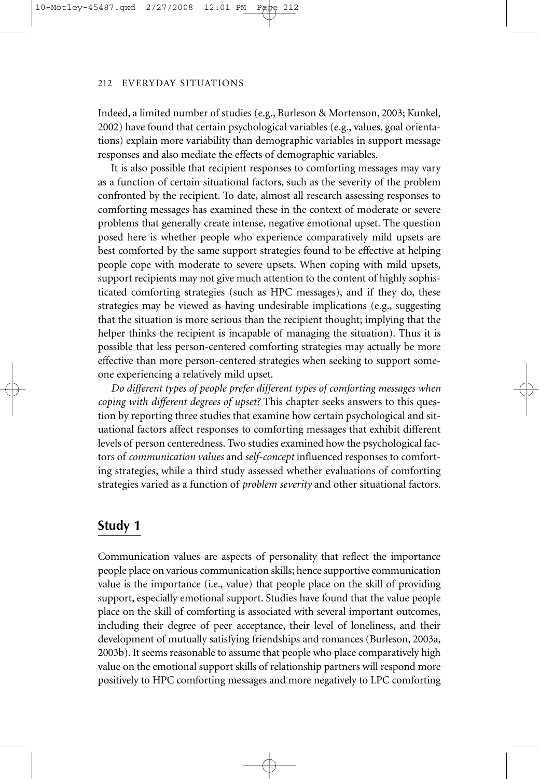Indeed, a limited number of studies (e.g., Burleson & Mortenson, 2003; Kunkel, 2002) have found that certain psychological variables (e.g., values, goal orientations) explain more variability than demographic variables in support message responses and also mediate the effects of demographic variables.

It is also possible that recipient responses to comforting messages may vary as a function of certain situational factors, such as the severity of the problem confronted by the recipient. To date, almost all research assessing responses to comforting messages has examined these in the context of moderate or severe problems that generally create intense, negative emotional upset. The question posed here is whether people who experience comparatively mild upsets are best comforted by the same support strategies found to be effective at helping people cope with moderate to severe upsets. When coping with mild upsets, support recipients may not give much attention to the content of highly sophisticated comforting strategies (such as HPC messages), and if they do, these strategies may be viewed as having undesirable implications (e.g., suggesting that the situation is more serious than the recipient thought; implying that the helper thinks the recipient is incapable of managing the situation). Thus it is possible that less person-centered comforting strategies may actually be more effective than more person-centered strategies when seeking to support someone experiencing a relatively mild upset.

*Do different types of people prefer different types of comforting messages when coping with different degrees of upset?* This chapter seeks answers to this question by reporting three studies that examine how certain psychological and situational factors affect responses to comforting messages that exhibit different levels of person centeredness. Two studies examined how the psychological factors of *communication values* and *self-concept* influenced responses to comforting strategies, while a third study assessed whether evaluations of comforting strategies varied as a function of *problem severity* and other situational factors.

# **Study 1**

Communication values are aspects of personality that reflect the importance people place on various communication skills; hence supportive communication value is the importance (i.e., value) that people place on the skill of providing support, especially emotional support. Studies have found that the value people place on the skill of comforting is associated with several important outcomes, including their degree of peer acceptance, their level of loneliness, and their development of mutually satisfying friendships and romances (Burleson, 2003a, 2003b). It seems reasonable to assume that people who place comparatively high value on the emotional support skills of relationship partners will respond more positively to HPC comforting messages and more negatively to LPC comforting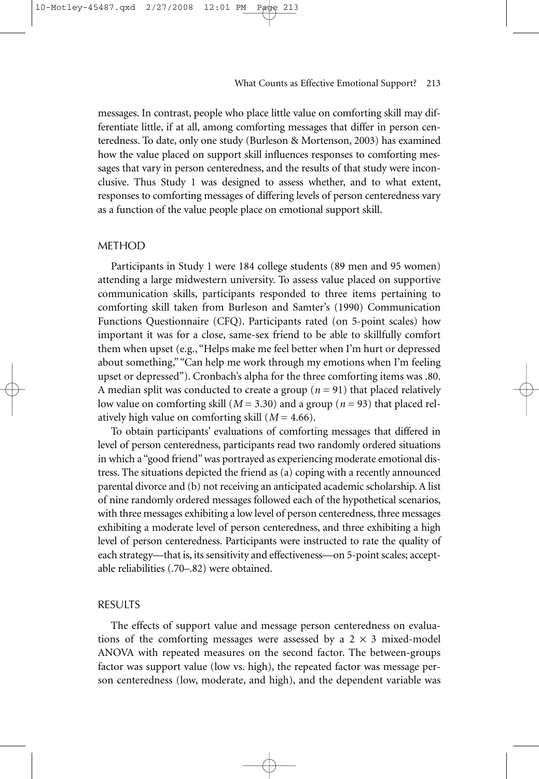messages. In contrast, people who place little value on comforting skill may differentiate little, if at all, among comforting messages that differ in person centeredness. To date, only one study (Burleson & Mortenson, 2003) has examined how the value placed on support skill influences responses to comforting messages that vary in person centeredness, and the results of that study were inconclusive. Thus Study 1 was designed to assess whether, and to what extent, responses to comforting messages of differing levels of person centeredness vary as a function of the value people place on emotional support skill.

#### METHOD

Participants in Study 1 were 184 college students (89 men and 95 women) attending a large midwestern university. To assess value placed on supportive communication skills, participants responded to three items pertaining to comforting skill taken from Burleson and Samter's (1990) Communication Functions Questionnaire (CFQ). Participants rated (on 5-point scales) how important it was for a close, same-sex friend to be able to skillfully comfort them when upset (e.g., "Helps make me feel better when I'm hurt or depressed about something," "Can help me work through my emotions when I'm feeling upset or depressed"). Cronbach's alpha for the three comforting items was .80. A median split was conducted to create a group (*n* = 91) that placed relatively low value on comforting skill (*M* = 3.30) and a group (*n* = 93) that placed relatively high value on comforting skill (*M* = 4.66).

To obtain participants' evaluations of comforting messages that differed in level of person centeredness, participants read two randomly ordered situations in which a "good friend" was portrayed as experiencing moderate emotional distress. The situations depicted the friend as (a) coping with a recently announced parental divorce and (b) not receiving an anticipated academic scholarship. A list of nine randomly ordered messages followed each of the hypothetical scenarios, with three messages exhibiting a low level of person centeredness, three messages exhibiting a moderate level of person centeredness, and three exhibiting a high level of person centeredness. Participants were instructed to rate the quality of each strategy—that is, its sensitivity and effectiveness—on 5-point scales; acceptable reliabilities (.70–.82) were obtained.

#### RESULTS

The effects of support value and message person centeredness on evaluations of the comforting messages were assessed by a  $2 \times 3$  mixed-model ANOVA with repeated measures on the second factor. The between-groups factor was support value (low vs. high), the repeated factor was message person centeredness (low, moderate, and high), and the dependent variable was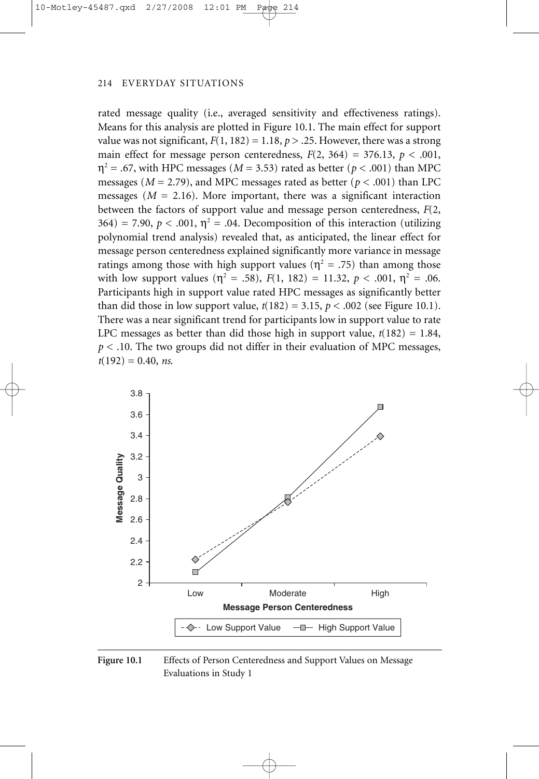rated message quality (i.e., averaged sensitivity and effectiveness ratings). Means for this analysis are plotted in Figure 10.1. The main effect for support value was not significant,  $F(1, 182) = 1.18$ ,  $p > .25$ . However, there was a strong main effect for message person centeredness,  $F(2, 364) = 376.13$ ,  $p < .001$ ,  $\eta^2$  = .67, with HPC messages (*M* = 3.53) rated as better (*p* < .001) than MPC messages ( $M = 2.79$ ), and MPC messages rated as better ( $p < .001$ ) than LPC messages ( $M = 2.16$ ). More important, there was a significant interaction between the factors of support value and message person centeredness, *F*(2,  $364$ ) = 7.90,  $p < .001$ ,  $\eta^2$  = .04. Decomposition of this interaction (utilizing polynomial trend analysis) revealed that, as anticipated, the linear effect for message person centeredness explained significantly more variance in message ratings among those with high support values ( $\eta^2 = .75$ ) than among those with low support values ( $\eta^2 = .58$ ),  $F(1, 182) = 11.32$ ,  $p < .001$ ,  $\eta^2 = .06$ . Participants high in support value rated HPC messages as significantly better than did those in low support value,  $t(182) = 3.15$ ,  $p < .002$  (see Figure 10.1). There was a near significant trend for participants low in support value to rate LPC messages as better than did those high in support value,  $t(182) = 1.84$ , *p* < .10. The two groups did not differ in their evaluation of MPC messages, *t*(192) = 0.40, *ns*.



Figure 10.1 Effects of Person Centeredness and Support Values on Message Evaluations in Study 1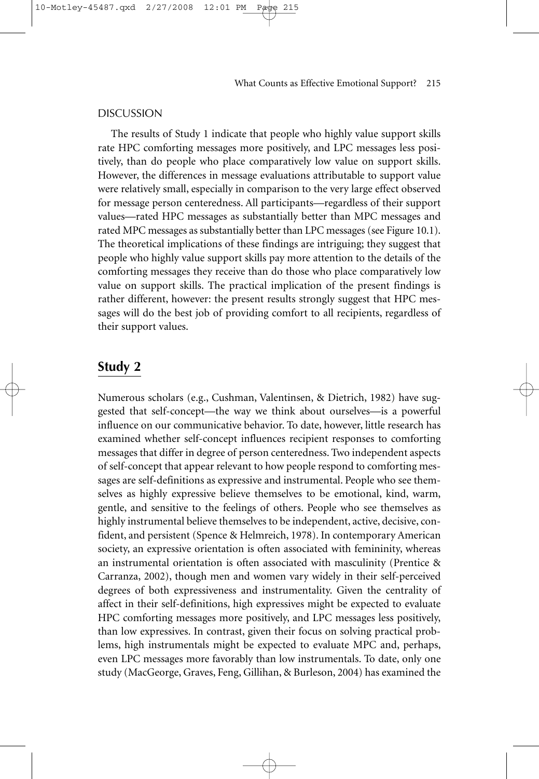The results of Study 1 indicate that people who highly value support skills rate HPC comforting messages more positively, and LPC messages less positively, than do people who place comparatively low value on support skills. However, the differences in message evaluations attributable to support value were relatively small, especially in comparison to the very large effect observed for message person centeredness. All participants—regardless of their support values—rated HPC messages as substantially better than MPC messages and rated MPC messages as substantially better than LPC messages (see Figure 10.1). The theoretical implications of these findings are intriguing; they suggest that people who highly value support skills pay more attention to the details of the comforting messages they receive than do those who place comparatively low value on support skills. The practical implication of the present findings is rather different, however: the present results strongly suggest that HPC messages will do the best job of providing comfort to all recipients, regardless of their support values.

#### **Study 2**

Numerous scholars (e.g., Cushman, Valentinsen, & Dietrich, 1982) have suggested that self-concept—the way we think about ourselves—is a powerful influence on our communicative behavior. To date, however, little research has examined whether self-concept influences recipient responses to comforting messages that differ in degree of person centeredness. Two independent aspects of self-concept that appear relevant to how people respond to comforting messages are self-definitions as expressive and instrumental. People who see themselves as highly expressive believe themselves to be emotional, kind, warm, gentle, and sensitive to the feelings of others. People who see themselves as highly instrumental believe themselves to be independent, active, decisive, confident, and persistent (Spence & Helmreich, 1978). In contemporary American society, an expressive orientation is often associated with femininity, whereas an instrumental orientation is often associated with masculinity (Prentice & Carranza, 2002), though men and women vary widely in their self-perceived degrees of both expressiveness and instrumentality. Given the centrality of affect in their self-definitions, high expressives might be expected to evaluate HPC comforting messages more positively, and LPC messages less positively, than low expressives. In contrast, given their focus on solving practical problems, high instrumentals might be expected to evaluate MPC and, perhaps, even LPC messages more favorably than low instrumentals. To date, only one study (MacGeorge, Graves, Feng, Gillihan, & Burleson, 2004) has examined the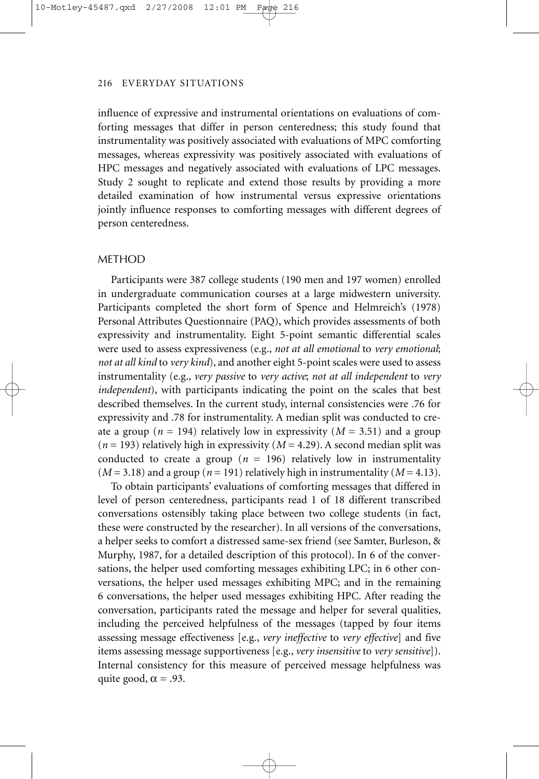influence of expressive and instrumental orientations on evaluations of comforting messages that differ in person centeredness; this study found that instrumentality was positively associated with evaluations of MPC comforting messages, whereas expressivity was positively associated with evaluations of HPC messages and negatively associated with evaluations of LPC messages. Study 2 sought to replicate and extend those results by providing a more detailed examination of how instrumental versus expressive orientations jointly influence responses to comforting messages with different degrees of person centeredness.

#### METHOD

Participants were 387 college students (190 men and 197 women) enrolled in undergraduate communication courses at a large midwestern university. Participants completed the short form of Spence and Helmreich's (1978) Personal Attributes Questionnaire (PAQ), which provides assessments of both expressivity and instrumentality. Eight 5-point semantic differential scales were used to assess expressiveness (e.g., *not at all emotional* to *very emotional*; *not at all kind* to *very kind*), and another eight 5-point scales were used to assess instrumentality (e.g., *very passive* to *very active*; *not at all independent* to *very independent*), with participants indicating the point on the scales that best described themselves. In the current study, internal consistencies were .76 for expressivity and .78 for instrumentality. A median split was conducted to create a group ( $n = 194$ ) relatively low in expressivity ( $M = 3.51$ ) and a group  $(n = 193)$  relatively high in expressivity  $(M = 4.29)$ . A second median split was conducted to create a group ( $n = 196$ ) relatively low in instrumentality  $(M = 3.18)$  and a group ( $n = 191$ ) relatively high in instrumentality ( $M = 4.13$ ).

To obtain participants' evaluations of comforting messages that differed in level of person centeredness, participants read 1 of 18 different transcribed conversations ostensibly taking place between two college students (in fact, these were constructed by the researcher). In all versions of the conversations, a helper seeks to comfort a distressed same-sex friend (see Samter, Burleson, & Murphy, 1987, for a detailed description of this protocol). In 6 of the conversations, the helper used comforting messages exhibiting LPC; in 6 other conversations, the helper used messages exhibiting MPC; and in the remaining 6 conversations, the helper used messages exhibiting HPC. After reading the conversation, participants rated the message and helper for several qualities, including the perceived helpfulness of the messages (tapped by four items assessing message effectiveness [e.g., *very ineffective* to *very effective*] and five items assessing message supportiveness [e.g., *very insensitive* to *very sensitive*]). Internal consistency for this measure of perceived message helpfulness was quite good,  $\alpha = .93$ .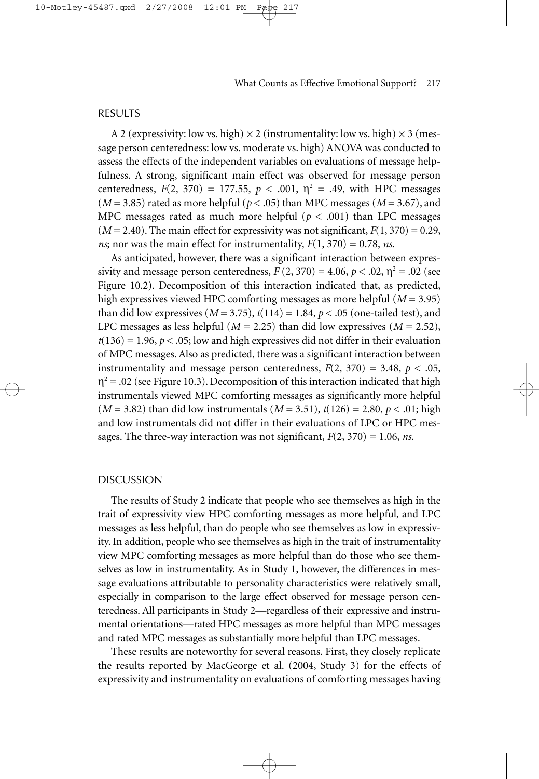A 2 (expressivity: low vs. high)  $\times$  2 (instrumentality: low vs. high)  $\times$  3 (message person centeredness: low vs. moderate vs. high) ANOVA was conducted to assess the effects of the independent variables on evaluations of message helpfulness. A strong, significant main effect was observed for message person centeredness,  $F(2, 370) = 177.55$ ,  $p < .001$ ,  $\eta^2 = .49$ , with HPC messages  $(M = 3.85)$  rated as more helpful ( $p < .05$ ) than MPC messages ( $M = 3.67$ ), and MPC messages rated as much more helpful ( $p < .001$ ) than LPC messages  $(M = 2.40)$ . The main effect for expressivity was not significant,  $F(1, 370) = 0.29$ , *ns*; nor was the main effect for instrumentality,  $F(1, 370) = 0.78$ , *ns*.

As anticipated, however, there was a significant interaction between expressivity and message person centeredness,  $F(2, 370) = 4.06$ ,  $p < .02$ ,  $\eta^2 = .02$  (see Figure 10.2). Decomposition of this interaction indicated that, as predicted, high expressives viewed HPC comforting messages as more helpful (*M* = 3.95) than did low expressives  $(M = 3.75)$ ,  $t(114) = 1.84$ ,  $p < .05$  (one-tailed test), and LPC messages as less helpful ( $M = 2.25$ ) than did low expressives ( $M = 2.52$ ),  $t(136) = 1.96$ ,  $p < .05$ ; low and high expressives did not differ in their evaluation of MPC messages. Also as predicted, there was a significant interaction between instrumentality and message person centeredness,  $F(2, 370) = 3.48$ ,  $p < .05$ ,  $\eta^2$  = .02 (see Figure 10.3). Decomposition of this interaction indicated that high instrumentals viewed MPC comforting messages as significantly more helpful (*M* = 3.82) than did low instrumentals (*M* = 3.51), *t*(126) = 2.80, *p* < .01; high and low instrumentals did not differ in their evaluations of LPC or HPC messages. The three-way interaction was not significant,  $F(2, 370) = 1.06$ , *ns*.

#### DISCUSSION

The results of Study 2 indicate that people who see themselves as high in the trait of expressivity view HPC comforting messages as more helpful, and LPC messages as less helpful, than do people who see themselves as low in expressivity. In addition, people who see themselves as high in the trait of instrumentality view MPC comforting messages as more helpful than do those who see themselves as low in instrumentality. As in Study 1, however, the differences in message evaluations attributable to personality characteristics were relatively small, especially in comparison to the large effect observed for message person centeredness. All participants in Study 2—regardless of their expressive and instrumental orientations—rated HPC messages as more helpful than MPC messages and rated MPC messages as substantially more helpful than LPC messages.

These results are noteworthy for several reasons. First, they closely replicate the results reported by MacGeorge et al. (2004, Study 3) for the effects of expressivity and instrumentality on evaluations of comforting messages having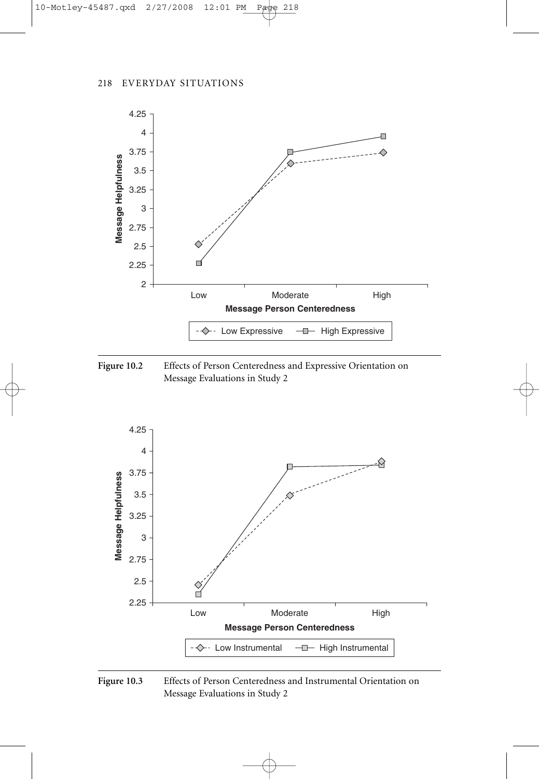





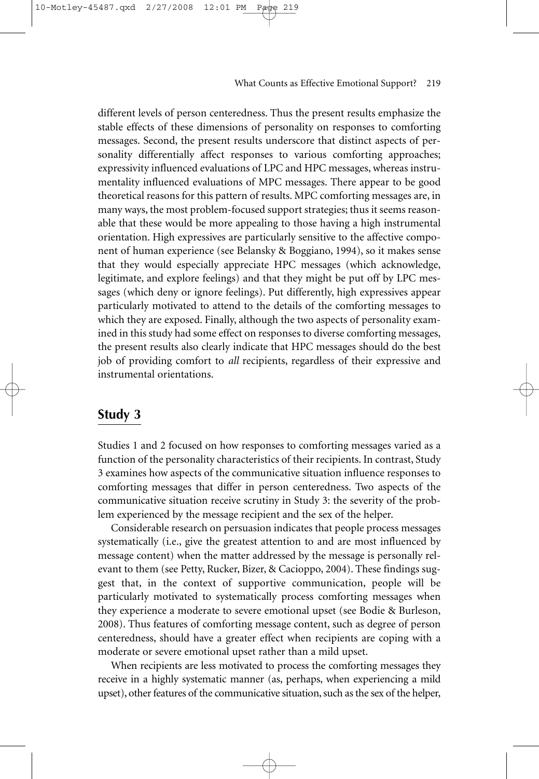different levels of person centeredness. Thus the present results emphasize the stable effects of these dimensions of personality on responses to comforting messages. Second, the present results underscore that distinct aspects of personality differentially affect responses to various comforting approaches; expressivity influenced evaluations of LPC and HPC messages, whereas instrumentality influenced evaluations of MPC messages. There appear to be good theoretical reasons for this pattern of results. MPC comforting messages are, in many ways, the most problem-focused support strategies; thus it seems reasonable that these would be more appealing to those having a high instrumental orientation. High expressives are particularly sensitive to the affective component of human experience (see Belansky & Boggiano, 1994), so it makes sense that they would especially appreciate HPC messages (which acknowledge, legitimate, and explore feelings) and that they might be put off by LPC messages (which deny or ignore feelings). Put differently, high expressives appear particularly motivated to attend to the details of the comforting messages to which they are exposed. Finally, although the two aspects of personality examined in this study had some effect on responses to diverse comforting messages, the present results also clearly indicate that HPC messages should do the best job of providing comfort to *all* recipients, regardless of their expressive and instrumental orientations.

### **Study 3**

Studies 1 and 2 focused on how responses to comforting messages varied as a function of the personality characteristics of their recipients. In contrast, Study 3 examines how aspects of the communicative situation influence responses to comforting messages that differ in person centeredness. Two aspects of the communicative situation receive scrutiny in Study 3: the severity of the problem experienced by the message recipient and the sex of the helper.

Considerable research on persuasion indicates that people process messages systematically (i.e., give the greatest attention to and are most influenced by message content) when the matter addressed by the message is personally relevant to them (see Petty, Rucker, Bizer, & Cacioppo, 2004). These findings suggest that, in the context of supportive communication, people will be particularly motivated to systematically process comforting messages when they experience a moderate to severe emotional upset (see Bodie & Burleson, 2008). Thus features of comforting message content, such as degree of person centeredness, should have a greater effect when recipients are coping with a moderate or severe emotional upset rather than a mild upset.

When recipients are less motivated to process the comforting messages they receive in a highly systematic manner (as, perhaps, when experiencing a mild upset), other features of the communicative situation, such as the sex of the helper,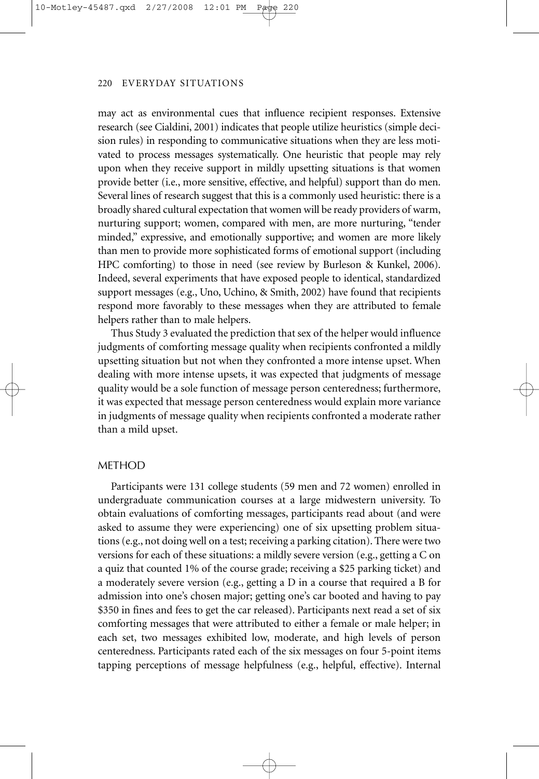may act as environmental cues that influence recipient responses. Extensive research (see Cialdini, 2001) indicates that people utilize heuristics (simple decision rules) in responding to communicative situations when they are less motivated to process messages systematically. One heuristic that people may rely upon when they receive support in mildly upsetting situations is that women provide better (i.e., more sensitive, effective, and helpful) support than do men. Several lines of research suggest that this is a commonly used heuristic: there is a broadly shared cultural expectation that women will be ready providers of warm, nurturing support; women, compared with men, are more nurturing, "tender minded," expressive, and emotionally supportive; and women are more likely than men to provide more sophisticated forms of emotional support (including HPC comforting) to those in need (see review by Burleson & Kunkel, 2006). Indeed, several experiments that have exposed people to identical, standardized support messages (e.g., Uno, Uchino, & Smith, 2002) have found that recipients respond more favorably to these messages when they are attributed to female helpers rather than to male helpers.

Thus Study 3 evaluated the prediction that sex of the helper would influence judgments of comforting message quality when recipients confronted a mildly upsetting situation but not when they confronted a more intense upset. When dealing with more intense upsets, it was expected that judgments of message quality would be a sole function of message person centeredness; furthermore, it was expected that message person centeredness would explain more variance in judgments of message quality when recipients confronted a moderate rather than a mild upset.

#### METHOD

Participants were 131 college students (59 men and 72 women) enrolled in undergraduate communication courses at a large midwestern university. To obtain evaluations of comforting messages, participants read about (and were asked to assume they were experiencing) one of six upsetting problem situations (e.g., not doing well on a test; receiving a parking citation). There were two versions for each of these situations: a mildly severe version (e.g., getting a C on a quiz that counted 1% of the course grade; receiving a \$25 parking ticket) and a moderately severe version (e.g., getting a D in a course that required a B for admission into one's chosen major; getting one's car booted and having to pay \$350 in fines and fees to get the car released). Participants next read a set of six comforting messages that were attributed to either a female or male helper; in each set, two messages exhibited low, moderate, and high levels of person centeredness. Participants rated each of the six messages on four 5-point items tapping perceptions of message helpfulness (e.g., helpful, effective). Internal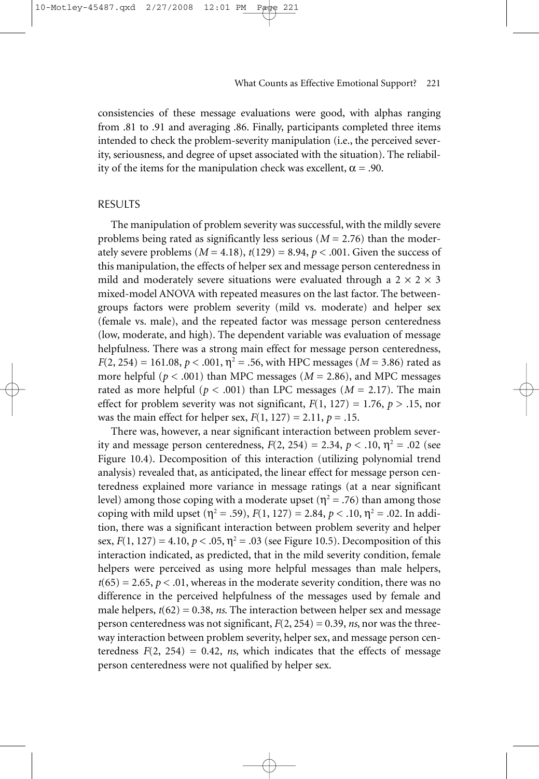consistencies of these message evaluations were good, with alphas ranging from .81 to .91 and averaging .86. Finally, participants completed three items intended to check the problem-severity manipulation (i.e., the perceived severity, seriousness, and degree of upset associated with the situation). The reliability of the items for the manipulation check was excellent,  $\alpha = .90$ .

#### RESULTS

10-Motley-45487.qxd 2/27/2008

The manipulation of problem severity was successful, with the mildly severe problems being rated as significantly less serious (*M* = 2.76) than the moderately severe problems  $(M = 4.18)$ ,  $t(129) = 8.94$ ,  $p < .001$ . Given the success of this manipulation, the effects of helper sex and message person centeredness in mild and moderately severe situations were evaluated through a  $2 \times 2 \times 3$ mixed-model ANOVA with repeated measures on the last factor. The betweengroups factors were problem severity (mild vs. moderate) and helper sex (female vs. male), and the repeated factor was message person centeredness (low, moderate, and high). The dependent variable was evaluation of message helpfulness. There was a strong main effect for message person centeredness,  $F(2, 254) = 161.08, p < .001, \eta^2 = .56$ , with HPC messages (*M* = 3.86) rated as more helpful (*p* < .001) than MPC messages (*M* = 2.86), and MPC messages rated as more helpful ( $p < .001$ ) than LPC messages ( $M = 2.17$ ). The main effect for problem severity was not significant,  $F(1, 127) = 1.76$ ,  $p > .15$ , nor was the main effect for helper sex, *F*(1, 127) = 2.11, *p* = .15.

There was, however, a near significant interaction between problem severity and message person centeredness,  $F(2, 254) = 2.34$ ,  $p < .10$ ,  $\eta^2 = .02$  (see Figure 10.4). Decomposition of this interaction (utilizing polynomial trend analysis) revealed that, as anticipated, the linear effect for message person centeredness explained more variance in message ratings (at a near significant level) among those coping with a moderate upset ( $\eta^2$  = .76) than among those coping with mild upset ( $\eta^2 = .59$ ),  $F(1, 127) = 2.84$ ,  $p < .10$ ,  $\eta^2 = .02$ . In addition, there was a significant interaction between problem severity and helper sex,  $F(1, 127) = 4.10, p < .05, \eta^2 = .03$  (see Figure 10.5). Decomposition of this interaction indicated, as predicted, that in the mild severity condition, female helpers were perceived as using more helpful messages than male helpers,  $t(65) = 2.65, p < .01$ , whereas in the moderate severity condition, there was no difference in the perceived helpfulness of the messages used by female and male helpers,  $t(62) = 0.38$ , *ns*. The interaction between helper sex and message person centeredness was not significant, *F*(2, 254) = 0.39, *ns*, nor was the threeway interaction between problem severity, helper sex, and message person centeredness  $F(2, 254) = 0.42$ , *ns*, which indicates that the effects of message person centeredness were not qualified by helper sex.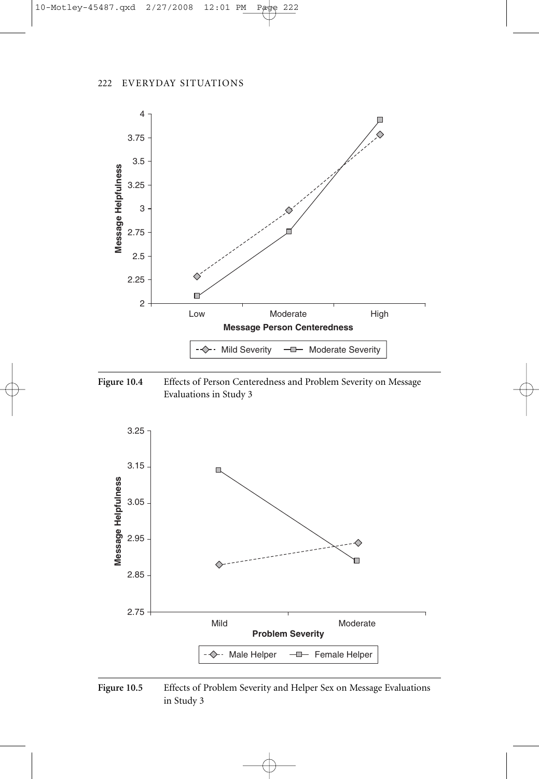





Figure 10.5 Effects of Problem Severity and Helper Sex on Message Evaluations in Study 3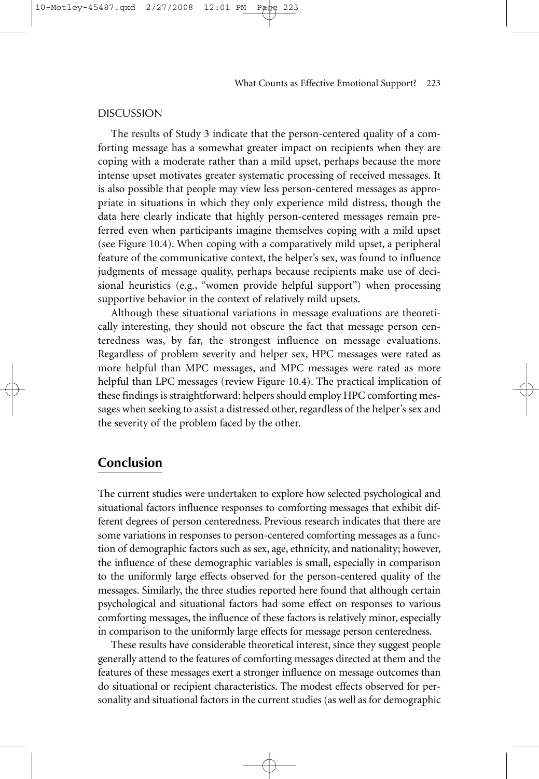The results of Study 3 indicate that the person-centered quality of a comforting message has a somewhat greater impact on recipients when they are coping with a moderate rather than a mild upset, perhaps because the more intense upset motivates greater systematic processing of received messages. It is also possible that people may view less person-centered messages as appropriate in situations in which they only experience mild distress, though the data here clearly indicate that highly person-centered messages remain preferred even when participants imagine themselves coping with a mild upset (see Figure 10.4). When coping with a comparatively mild upset, a peripheral feature of the communicative context, the helper's sex, was found to influence judgments of message quality, perhaps because recipients make use of decisional heuristics (e.g., "women provide helpful support") when processing supportive behavior in the context of relatively mild upsets.

Although these situational variations in message evaluations are theoretically interesting, they should not obscure the fact that message person centeredness was, by far, the strongest influence on message evaluations. Regardless of problem severity and helper sex, HPC messages were rated as more helpful than MPC messages, and MPC messages were rated as more helpful than LPC messages (review Figure 10.4). The practical implication of these findings is straightforward: helpers should employ HPC comforting messages when seeking to assist a distressed other, regardless of the helper's sex and the severity of the problem faced by the other.

# **Conclusion**

The current studies were undertaken to explore how selected psychological and situational factors influence responses to comforting messages that exhibit different degrees of person centeredness. Previous research indicates that there are some variations in responses to person-centered comforting messages as a function of demographic factors such as sex, age, ethnicity, and nationality; however, the influence of these demographic variables is small, especially in comparison to the uniformly large effects observed for the person-centered quality of the messages. Similarly, the three studies reported here found that although certain psychological and situational factors had some effect on responses to various comforting messages, the influence of these factors is relatively minor, especially in comparison to the uniformly large effects for message person centeredness.

These results have considerable theoretical interest, since they suggest people generally attend to the features of comforting messages directed at them and the features of these messages exert a stronger influence on message outcomes than do situational or recipient characteristics. The modest effects observed for personality and situational factors in the current studies (as well as for demographic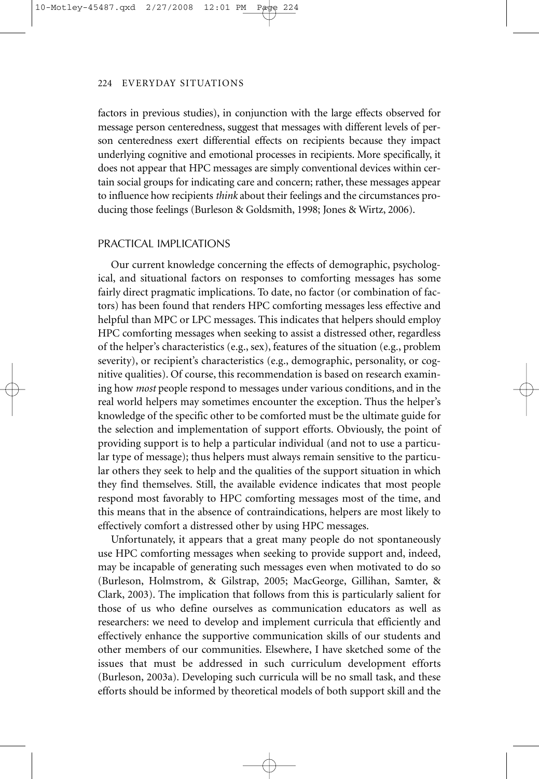factors in previous studies), in conjunction with the large effects observed for message person centeredness, suggest that messages with different levels of person centeredness exert differential effects on recipients because they impact underlying cognitive and emotional processes in recipients. More specifically, it does not appear that HPC messages are simply conventional devices within certain social groups for indicating care and concern; rather, these messages appear to influence how recipients *think* about their feelings and the circumstances producing those feelings (Burleson & Goldsmith, 1998; Jones & Wirtz, 2006).

#### PRACTICAL IMPLICATIONS

Our current knowledge concerning the effects of demographic, psychological, and situational factors on responses to comforting messages has some fairly direct pragmatic implications. To date, no factor (or combination of factors) has been found that renders HPC comforting messages less effective and helpful than MPC or LPC messages. This indicates that helpers should employ HPC comforting messages when seeking to assist a distressed other, regardless of the helper's characteristics (e.g., sex), features of the situation (e.g., problem severity), or recipient's characteristics (e.g., demographic, personality, or cognitive qualities). Of course, this recommendation is based on research examining how *most* people respond to messages under various conditions, and in the real world helpers may sometimes encounter the exception. Thus the helper's knowledge of the specific other to be comforted must be the ultimate guide for the selection and implementation of support efforts. Obviously, the point of providing support is to help a particular individual (and not to use a particular type of message); thus helpers must always remain sensitive to the particular others they seek to help and the qualities of the support situation in which they find themselves. Still, the available evidence indicates that most people respond most favorably to HPC comforting messages most of the time, and this means that in the absence of contraindications, helpers are most likely to effectively comfort a distressed other by using HPC messages.

Unfortunately, it appears that a great many people do not spontaneously use HPC comforting messages when seeking to provide support and, indeed, may be incapable of generating such messages even when motivated to do so (Burleson, Holmstrom, & Gilstrap, 2005; MacGeorge, Gillihan, Samter, & Clark, 2003). The implication that follows from this is particularly salient for those of us who define ourselves as communication educators as well as researchers: we need to develop and implement curricula that efficiently and effectively enhance the supportive communication skills of our students and other members of our communities. Elsewhere, I have sketched some of the issues that must be addressed in such curriculum development efforts (Burleson, 2003a). Developing such curricula will be no small task, and these efforts should be informed by theoretical models of both support skill and the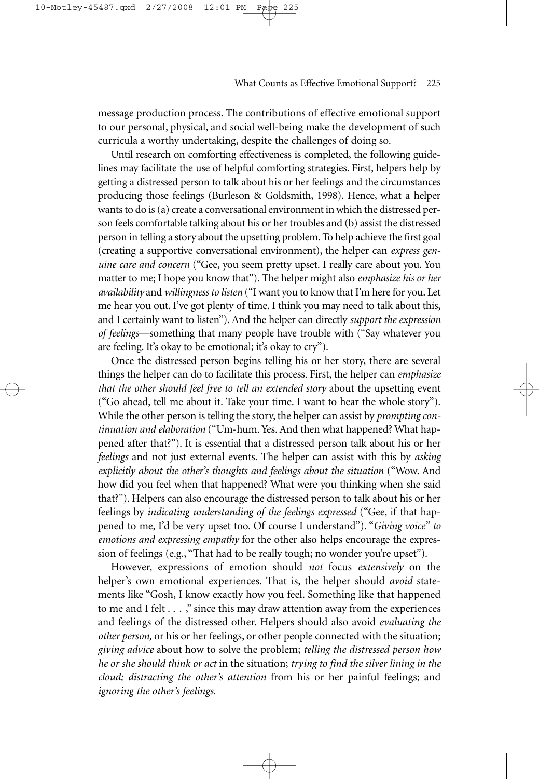message production process. The contributions of effective emotional support to our personal, physical, and social well-being make the development of such curricula a worthy undertaking, despite the challenges of doing so.

Until research on comforting effectiveness is completed, the following guidelines may facilitate the use of helpful comforting strategies. First, helpers help by getting a distressed person to talk about his or her feelings and the circumstances producing those feelings (Burleson & Goldsmith, 1998). Hence, what a helper wants to do is (a) create a conversational environment in which the distressed person feels comfortable talking about his or her troubles and (b) assist the distressed person in telling a story about the upsetting problem. To help achieve the first goal (creating a supportive conversational environment), the helper can *express genuine care and concern* ("Gee, you seem pretty upset. I really care about you. You matter to me; I hope you know that"). The helper might also *emphasize his or her availability* and *willingness to listen* ("I want you to know that I'm here for you. Let me hear you out. I've got plenty of time. I think you may need to talk about this, and I certainly want to listen"). And the helper can directly *support the expression of feelings*—something that many people have trouble with ("Say whatever you are feeling. It's okay to be emotional; it's okay to cry").

Once the distressed person begins telling his or her story, there are several things the helper can do to facilitate this process. First, the helper can *emphasize that the other should feel free to tell an extended story* about the upsetting event ("Go ahead, tell me about it. Take your time. I want to hear the whole story"). While the other person is telling the story, the helper can assist by *prompting continuation and elaboration* ("Um-hum. Yes. And then what happened? What happened after that?"). It is essential that a distressed person talk about his or her *feelings* and not just external events. The helper can assist with this by *asking explicitly about the other's thoughts and feelings about the situation* ("Wow. And how did you feel when that happened? What were you thinking when she said that?"). Helpers can also encourage the distressed person to talk about his or her feelings by *indicating understanding of the feelings expressed* ("Gee, if that happened to me, I'd be very upset too. Of course I understand"). "*Giving voice" to emotions and expressing empathy* for the other also helps encourage the expression of feelings (e.g., "That had to be really tough; no wonder you're upset").

However, expressions of emotion should *not* focus *extensively* on the helper's own emotional experiences. That is, the helper should *avoid* statements like "Gosh, I know exactly how you feel. Something like that happened to me and I felt  $\dots$ ," since this may draw attention away from the experiences and feelings of the distressed other. Helpers should also avoid *evaluating the other person,* or his or her feelings, or other people connected with the situation; *giving advice* about how to solve the problem; *telling the distressed person how he or she should think or act* in the situation; *trying to find the silver lining in the cloud; distracting the other's attention* from his or her painful feelings; and *ignoring the other's feelings.*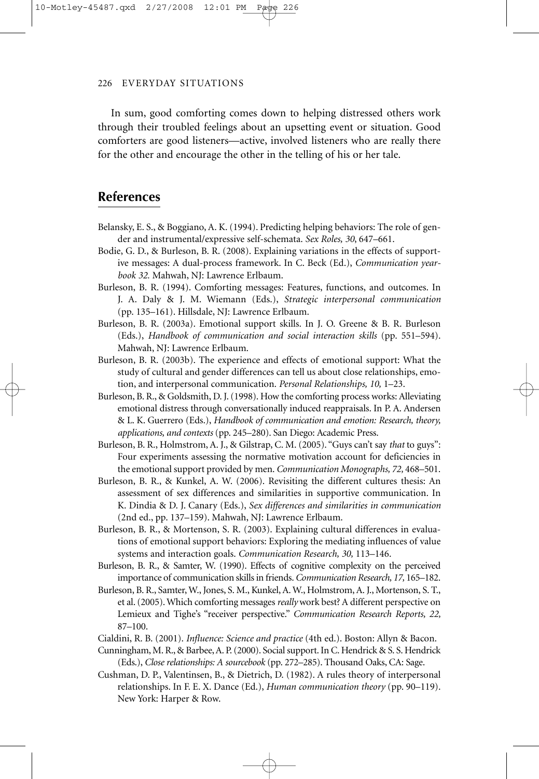In sum, good comforting comes down to helping distressed others work through their troubled feelings about an upsetting event or situation. Good comforters are good listeners—active, involved listeners who are really there for the other and encourage the other in the telling of his or her tale.

## **References**

- Belansky, E. S., & Boggiano, A. K. (1994). Predicting helping behaviors: The role of gender and instrumental/expressive self-schemata. *Sex Roles, 30*, 647–661.
- Bodie, G. D., & Burleson, B. R. (2008). Explaining variations in the effects of supportive messages: A dual-process framework. In C. Beck (Ed.), *Communication yearbook 32.* Mahwah, NJ: Lawrence Erlbaum.
- Burleson, B. R. (1994). Comforting messages: Features, functions, and outcomes. In J. A. Daly & J. M. Wiemann (Eds.), *Strategic interpersonal communication* (pp. 135–161). Hillsdale, NJ: Lawrence Erlbaum.
- Burleson, B. R. (2003a). Emotional support skills. In J. O. Greene & B. R. Burleson (Eds.), *Handbook of communication and social interaction skills* (pp. 551–594). Mahwah, NJ: Lawrence Erlbaum.
- Burleson, B. R. (2003b). The experience and effects of emotional support: What the study of cultural and gender differences can tell us about close relationships, emotion, and interpersonal communication. *Personal Relationships, 10,* 1–23.
- Burleson, B. R., & Goldsmith, D. J. (1998). How the comforting process works: Alleviating emotional distress through conversationally induced reappraisals. In P. A. Andersen & L. K. Guerrero (Eds.), *Handbook of communication and emotion: Research, theory, applications, and contexts* (pp. 245–280). San Diego: Academic Press.
- Burleson, B. R., Holmstrom, A. J., & Gilstrap, C. M. (2005). "Guys can't say *that* to guys": Four experiments assessing the normative motivation account for deficiencies in the emotional support provided by men. *Communication Monographs, 72,* 468–501.
- Burleson, B. R., & Kunkel, A. W. (2006). Revisiting the different cultures thesis: An assessment of sex differences and similarities in supportive communication. In K. Dindia & D. J. Canary (Eds.), *Sex differences and similarities in communication* (2nd ed., pp. 137–159). Mahwah, NJ: Lawrence Erlbaum.
- Burleson, B. R., & Mortenson, S. R. (2003). Explaining cultural differences in evaluations of emotional support behaviors: Exploring the mediating influences of value systems and interaction goals. *Communication Research, 30,* 113–146.
- Burleson, B. R., & Samter, W. (1990). Effects of cognitive complexity on the perceived importance of communication skills in friends.*Communication Research, 17,* 165–182.
- Burleson, B. R., Samter, W., Jones, S. M., Kunkel, A. W., Holmstrom, A. J., Mortenson, S. T., et al. (2005). Which comforting messages *really* work best? A different perspective on Lemieux and Tighe's "receiver perspective." *Communication Research Reports, 22,* 87–100.
- Cialdini, R. B. (2001). *Influence: Science and practice* (4th ed.). Boston: Allyn & Bacon.
- Cunningham, M. R., & Barbee, A. P. (2000). Social support. In C. Hendrick & S. S. Hendrick (Eds.), *Close relationships: A sourcebook* (pp. 272–285). Thousand Oaks, CA: Sage.
- Cushman, D. P., Valentinsen, B., & Dietrich, D. (1982). A rules theory of interpersonal relationships. In F. E. X. Dance (Ed.), *Human communication theory* (pp. 90–119). New York: Harper & Row.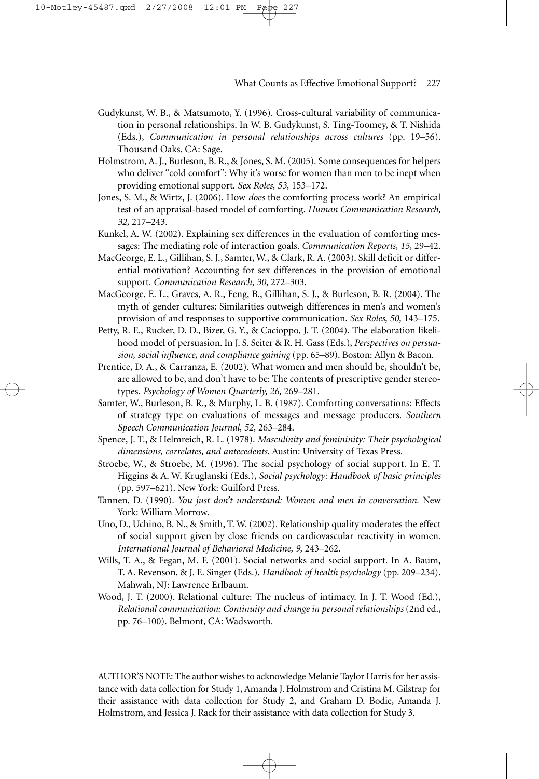Gudykunst, W. B., & Matsumoto, Y. (1996). Cross-cultural variability of communication in personal relationships. In W. B. Gudykunst, S. Ting-Toomey, & T. Nishida (Eds.), *Communication in personal relationships across cultures* (pp. 19–56). Thousand Oaks, CA: Sage.

Holmstrom, A. J., Burleson, B. R., & Jones, S. M. (2005). Some consequences for helpers who deliver "cold comfort": Why it's worse for women than men to be inept when providing emotional support. *Sex Roles, 53,* 153–172.

Jones, S. M., & Wirtz, J. (2006). How *does* the comforting process work? An empirical test of an appraisal-based model of comforting. *Human Communication Research, 32,* 217–243.

Kunkel, A. W. (2002). Explaining sex differences in the evaluation of comforting messages: The mediating role of interaction goals. *Communication Reports, 15,* 29–42.

MacGeorge, E. L., Gillihan, S. J., Samter, W., & Clark, R. A. (2003). Skill deficit or differential motivation? Accounting for sex differences in the provision of emotional support. *Communication Research, 30,* 272–303.

MacGeorge, E. L., Graves, A. R., Feng, B., Gillihan, S. J., & Burleson, B. R. (2004). The myth of gender cultures: Similarities outweigh differences in men's and women's provision of and responses to supportive communication. *Sex Roles, 50,* 143–175.

Petty, R. E., Rucker, D. D., Bizer, G. Y., & Cacioppo, J. T. (2004). The elaboration likelihood model of persuasion. In J. S. Seiter & R. H. Gass (Eds.), *Perspectives on persuasion, social influence, and compliance gaining* (pp. 65–89). Boston: Allyn & Bacon.

- Prentice, D. A., & Carranza, E. (2002). What women and men should be, shouldn't be, are allowed to be, and don't have to be: The contents of prescriptive gender stereotypes. *Psychology of Women Quarterly, 26,* 269–281.
- Samter, W., Burleson, B. R., & Murphy, L. B. (1987). Comforting conversations: Effects of strategy type on evaluations of messages and message producers. *Southern Speech Communication Journal, 52,* 263–284.
- Spence, J. T., & Helmreich, R. L. (1978). *Masculinity and femininity: Their psychological dimensions, correlates, and antecedents.* Austin: University of Texas Press.
- Stroebe, W., & Stroebe, M. (1996). The social psychology of social support. In E. T. Higgins & A. W. Kruglanski (Eds.), *Social psychology: Handbook of basic principles* (pp. 597–621). New York: Guilford Press.
- Tannen, D. (1990). *You just don't understand: Women and men in conversation.* New York: William Morrow.
- Uno, D., Uchino, B. N., & Smith, T. W. (2002). Relationship quality moderates the effect of social support given by close friends on cardiovascular reactivity in women. *International Journal of Behavioral Medicine, 9,* 243–262.
- Wills, T. A., & Fegan, M. F. (2001). Social networks and social support. In A. Baum, T. A. Revenson, & J. E. Singer (Eds.), *Handbook of health psychology* (pp. 209–234). Mahwah, NJ: Lawrence Erlbaum.
- Wood, J. T. (2000). Relational culture: The nucleus of intimacy. In J. T. Wood (Ed.), *Relational communication: Continuity and change in personal relationships* (2nd ed., pp. 76–100). Belmont, CA: Wadsworth.

AUTHOR'S NOTE: The author wishes to acknowledge Melanie Taylor Harris for her assistance with data collection for Study 1, Amanda J. Holmstrom and Cristina M. Gilstrap for their assistance with data collection for Study 2, and Graham D. Bodie, Amanda J. Holmstrom, and Jessica J. Rack for their assistance with data collection for Study 3.